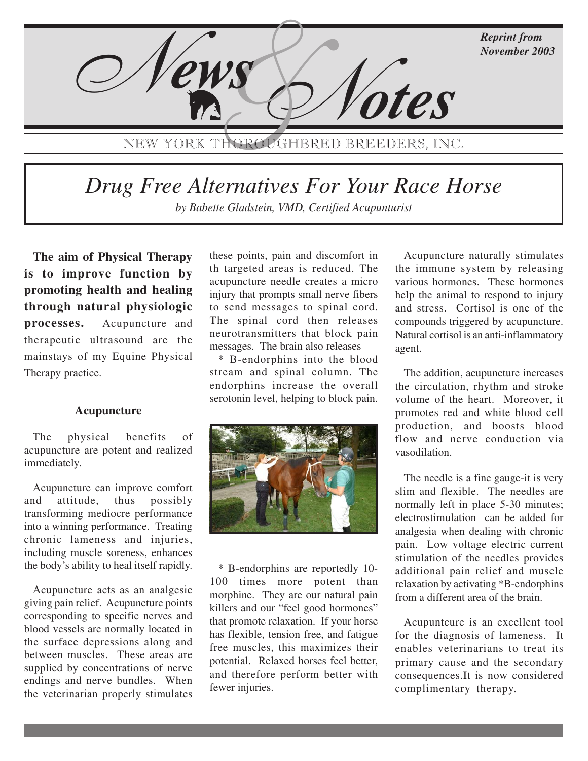

NEW YORK THOROUGHBRED BREEDERS, INC.

# *Drug Free Alternatives For Your Race Horse*

by Babette Gladstein, VMD, Certified Acupunturist

**The aim of Physical Therapy is to improve function by promoting health and healing through natural physiologic processes.** Acupuncture and therapeutic ultrasound are the mainstays of my Equine Physical Therapy practice.

#### **Acupuncture**

The physical benefits of acupuncture are potent and realized immediately.

Acupuncture can improve comfort and attitude, thus possibly transforming mediocre performance into a winning performance. Treating chronic lameness and injuries, including muscle soreness, enhances the body's ability to heal itself rapidly.

Acupuncture acts as an analgesic giving pain relief. Acupuncture points corresponding to specific nerves and blood vessels are normally located in the surface depressions along and between muscles. These areas are supplied by concentrations of nerve endings and nerve bundles. When the veterinarian properly stimulates

these points, pain and discomfort in th targeted areas is reduced. The acupuncture needle creates a micro injury that prompts small nerve fibers to send messages to spinal cord. The spinal cord then releases neurotransmitters that block pain messages. The brain also releases

\* B-endorphins into the blood stream and spinal column. The endorphins increase the overall serotonin level, helping to block pain.



\* B-endorphins are reportedly 10- 100 times more potent than morphine. They are our natural pain killers and our "feel good hormones" that promote relaxation. If your horse has flexible, tension free, and fatigue free muscles, this maximizes their potential. Relaxed horses feel better, and therefore perform better with fewer injuries.

Acupuncture naturally stimulates the immune system by releasing various hormones. These hormones help the animal to respond to injury and stress. Cortisol is one of the compounds triggered by acupuncture. Natural cortisol is an anti-inflammatory agent.

The addition, acupuncture increases the circulation, rhythm and stroke volume of the heart. Moreover, it promotes red and white blood cell production, and boosts blood flow and nerve conduction via vasodilation.

The needle is a fine gauge-it is very slim and flexible. The needles are normally left in place 5-30 minutes; electrostimulation can be added for analgesia when dealing with chronic pain. Low voltage electric current stimulation of the needles provides additional pain relief and muscle relaxation by activating \*B-endorphins from a different area of the brain.

Acupuntcure is an excellent tool for the diagnosis of lameness. It enables veterinarians to treat its primary cause and the secondary consequences.It is now considered complimentary therapy.